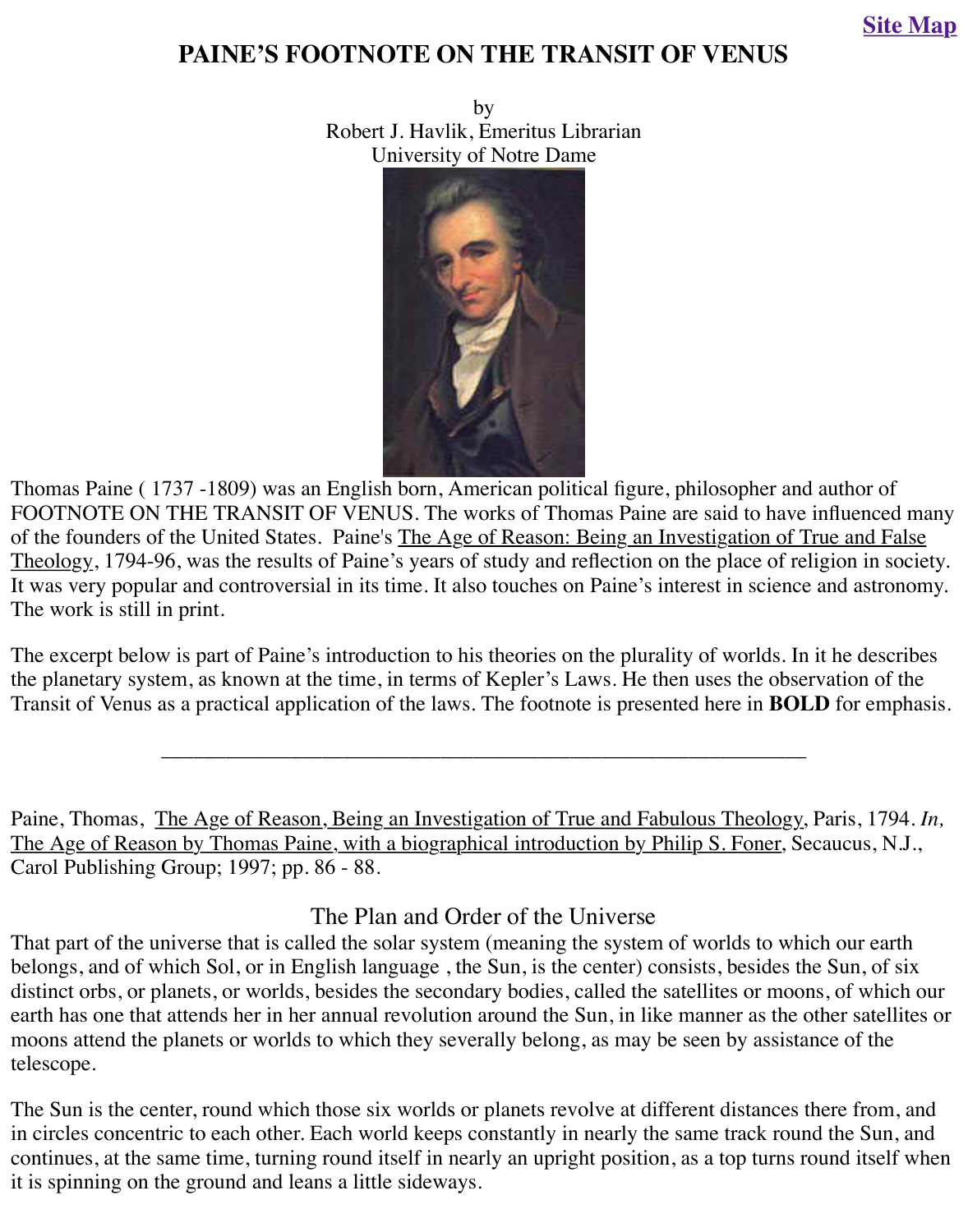

Thomas Paine ( 1737 -1809) was an English born, American political figure, philosopher and a FOOTNOTE ON THE TRANSIT OF VENUS. The works of Thomas Paine are said to have in of the founders of the United States. Paine's The Age of Reason: Being an Investigation of Tru Theology, 1794-96, was the results of Paine's years of study and reflection on the place of religion-It was very popular and controversial in its time. It also touches on Paine's interest in science and as the science and as the science and as the science and as the science and as the science and as the science and as the The work is still in print.

The excerpt below is part of Paine's introduction to his theories on the plurality of worlds. In it the planetary system, as known at the time, in terms of Kepler's Laws. He then uses the observation Transit of Venus as a practical application of the laws. The footnote is presented here in **BOLI** 

Paine, Thomas, The Age of Reason, Being an Investigation of True and Fabulous Theology, P The Age of Reason by Thomas Paine, with a biographical introduction by Philip S. Foner, Sec Carol Publishing Group; 1997; pp. 86 - 88.

## The Plan and Order of the Universe

\_\_\_\_\_\_\_\_\_\_\_\_\_\_\_\_\_\_\_\_\_\_\_\_\_\_\_\_\_\_\_\_\_\_\_\_\_\_\_\_\_\_\_\_\_\_\_\_\_\_\_\_\_\_\_\_\_\_\_\_

That part of the universe that is called the solar system (meaning the system of worlds to which belongs, and of which Sol, or in English language, the Sun, is the center) consists, besides the distinct orbs, or planets, or worlds, besides the secondary bodies, called the satellites or moons earth has one that attends her in her annual revolution around the Sun, in like manner as the other moons attend the planets or worlds to which they severally belong, as may be seen by assistane telescope.

The Sun is the center, round which those six worlds or planets revolve at different distances there from  $\epsilon$ in circles concentric to each other. Each world keeps constantly in nearly the same track round continues, at the same time, turning round itself in nearly an upright position, as a top turns round itself it is spinning on the ground and leans a little sideways.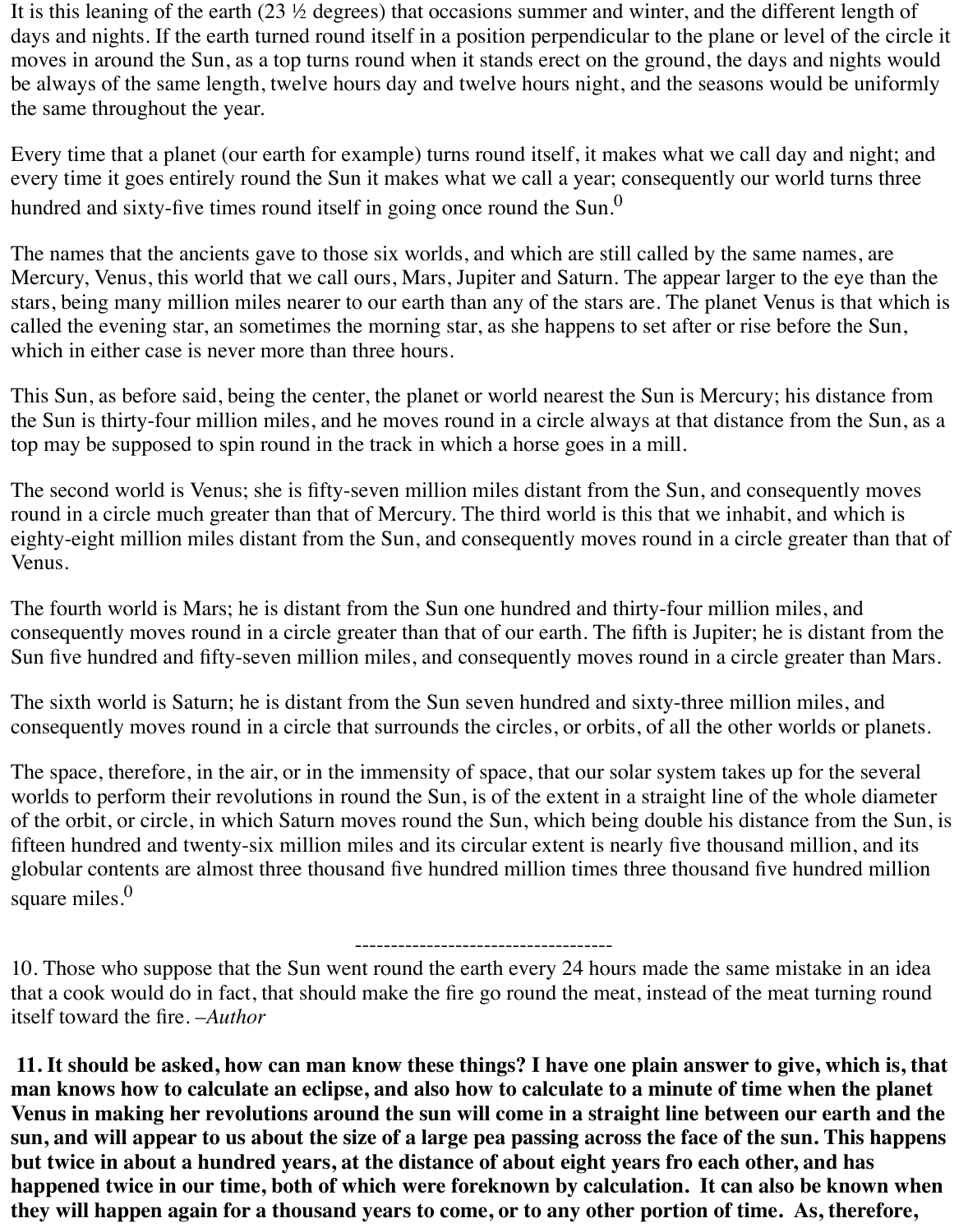It is this leaning of the earth (23 ½ degrees) that occasions summer and winter, and the different length of days and nights. If the earth turned round itself in a position perpendicular to the plane or level of the circle it moves in around the Sun, as a top turns round when it stands erect on the ground, the days and nights would be always of the same length, twelve hours day and twelve hours night, and the seasons would be uniformly the same throughout the year.

Every time that a planet (our earth for example) turns round itself, it makes what we call day and night; and every time it goes entirely round the Sun it makes what we call a year; consequently our world turns three hundred and sixty-five times round itself in going once round the Sun.<sup>0</sup>

The names that the ancients gave to those six worlds, and which are still called by the same names, are Mercury, Venus, this world that we call ours, Mars, Jupiter and Saturn. The appear larger to the eye than the stars, being many million miles nearer to our earth than any of the stars are. The planet Venus is that which is called the evening star, an sometimes the morning star, as she happens to set after or rise before the Sun, which in either case is never more than three hours.

This Sun, as before said, being the center, the planet or world nearest the Sun is Mercury; his distance from the Sun is thirty-four million miles, and he moves round in a circle always at that distance from the Sun, as a top may be supposed to spin round in the track in which a horse goes in a mill.

The second world is Venus; she is fifty-seven million miles distant from the Sun, and consequently moves round in a circle much greater than that of Mercury. The third world is this that we inhabit, and which is eighty-eight million miles distant from the Sun, and consequently moves round in a circle greater than that of Venus.

The fourth world is Mars; he is distant from the Sun one hundred and thirty-four million miles, and consequently moves round in a circle greater than that of our earth. The fifth is Jupiter; he is distant from the Sun five hundred and fifty-seven million miles, and consequently moves round in a circle greater than Mars.

The sixth world is Saturn; he is distant from the Sun seven hundred and sixty-three million miles, and consequently moves round in a circle that surrounds the circles, or orbits, of all the other worlds or planets.

The space, therefore, in the air, or in the immensity of space, that our solar system takes up for the several worlds to perform their revolutions in round the Sun, is of the extent in a straight line of the whole diameter of the orbit, or circle, in which Saturn moves round the Sun, which being double his distance from the Sun, is fifteen hundred and twenty-six million miles and its circular extent is nearly five thousand million, and its globular contents are almost three thousand five hundred million times three thousand five hundred million square miles. $<sup>0</sup>$ </sup>

## ------------------------------------

10. Those who suppose that the Sun went round the earth every 24 hours made the same mistake in an idea that a cook would do in fact, that should make the fire go round the meat, instead of the meat turning round itself toward the fire. –*Author*

**11. It should be asked, how can man know these things? I have one plain answer to give, which is, that man knows how to calculate an eclipse, and also how to calculate to a minute of time when the planet Venus in making her revolutions around the sun will come in a straight line between our earth and the sun, and will appear to us about the size of a large pea passing across the face of the sun. This happens but twice in about a hundred years, at the distance of about eight years fro each other, and has happened twice in our time, both of which were foreknown by calculation. It can also be known when they will happen again for a thousand years to come, or to any other portion of time. As, therefore,**